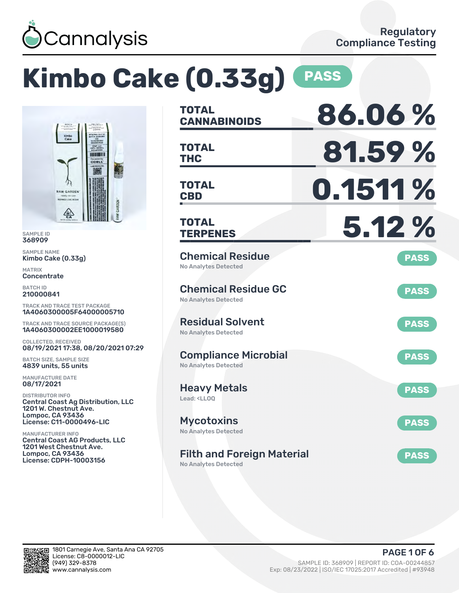

# **Kimbo Cake (0.33g) PASS**



SAMPLE ID 368909

SAMPLE NAME Kimbo Cake (0.33g)

MATRIX **Concentrate** 

BATCH ID 210000841

TRACK AND TRACE TEST PACKAGE 1A4060300005F64000005710

TRACK AND TRACE SOURCE PACKAGE(S) 1A4060300002EE1000019580

COLLECTED, RECEIVED 08/19/2021 17:38, 08/20/2021 07:29

BATCH SIZE, SAMPLE SIZE 4839 units, 55 units

MANUFACTURE DATE 08/17/2021

DISTRIBUTOR INFO Central Coast Ag Distribution, LLC 1201 W. Chestnut Ave. Lompoc, CA 93436 License: C11-0000496-LIC

MANUFACTURER INFO Central Coast AG Products, LLC 1201 West Chestnut Ave. Lompoc, CA 93436 License: CDPH-10003156

| <b>TOTAL</b><br><b>CANNABINOIDS</b>                                    | 86.06%      |
|------------------------------------------------------------------------|-------------|
| <b>TOTAL</b><br><b>THC</b>                                             | 81.59%      |
| TOTAL<br><b>CBD</b>                                                    | 0.1511%     |
| <b>TOTAL</b><br><b>TERPENES</b>                                        | 5.12 %      |
| <b>Chemical Residue</b><br><b>No Analytes Detected</b>                 | <b>PASS</b> |
| <b>Chemical Residue GC</b><br><b>No Analytes Detected</b>              | <b>PASS</b> |
| <b>Residual Solvent</b><br><b>No Analytes Detected</b>                 | <b>PASS</b> |
| <b>Compliance Microbial</b><br><b>No Analytes Detected</b>             | <b>PASS</b> |
| <b>Heavy Metals</b><br>Lead: <lloq< td=""><td><b>PASS</b></td></lloq<> | <b>PASS</b> |
| <b>Mycotoxins</b><br>No Analytes Detected                              | <b>PASS</b> |
| <b>Filth and Foreign Material</b><br><b>No Analytes Detected</b>       | <b>PASS</b> |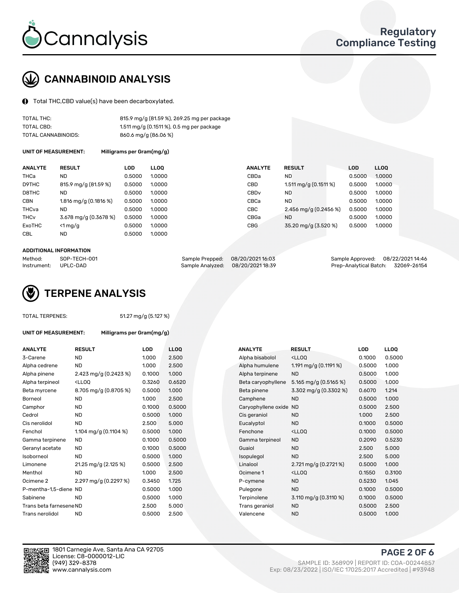

## CANNABINOID ANALYSIS

Total THC,CBD value(s) have been decarboxylated.

| TOTAL THC:          | 815.9 mg/g (81.59 %), 269.25 mg per package |
|---------------------|---------------------------------------------|
| TOTAL CBD:          | 1.511 mg/g (0.1511 %), 0.5 mg per package   |
| TOTAL CANNABINOIDS: | 860.6 mg/g (86.06 %)                        |

UNIT OF MEASUREMENT: Milligrams per Gram(mg/g)

| <b>ANALYTE</b>         | <b>RESULT</b>           | <b>LOD</b> | <b>LLOO</b> | <b>ANALYTE</b>   | <b>RESULT</b>           | <b>LOD</b> | LL <sub>00</sub> |
|------------------------|-------------------------|------------|-------------|------------------|-------------------------|------------|------------------|
| THCa                   | <b>ND</b>               | 0.5000     | 1.0000      | CBDa             | <b>ND</b>               | 0.5000     | 1.0000           |
| D9THC                  | 815.9 mg/g (81.59 %)    | 0.5000     | 1.0000      | CBD              | $1.511$ mg/g (0.1511 %) | 0.5000     | 1.0000           |
| D8THC                  | <b>ND</b>               | 0.5000     | 1.0000      | CBD <sub>v</sub> | <b>ND</b>               | 0.5000     | 1.0000           |
| <b>CBN</b>             | 1.816 mg/g $(0.1816\%)$ | 0.5000     | 1.0000      | CBCa             | <b>ND</b>               | 0.5000     | 1.0000           |
| THCva                  | <b>ND</b>               | 0.5000     | 1.0000      | <b>CBC</b>       | 2.456 mg/g (0.2456 %)   | 0.5000     | 1.0000           |
| <b>THC<sub>v</sub></b> | 3.678 mg/g (0.3678 %)   | 0.5000     | 1.0000      | CBGa             | <b>ND</b>               | 0.5000     | 1.0000           |
| ExoTHC                 | $<$ 1 mg/g              | 0.5000     | 1.0000      | <b>CBG</b>       | 35.20 mg/g (3.520 %)    | 0.5000     | 1.0000           |
| CBL.                   | <b>ND</b>               | 0.5000     | 1.0000      |                  |                         |            |                  |
|                        |                         |            |             |                  |                         |            |                  |

#### ADDITIONAL INFORMATION

| Method:     | SOP-TECH-001 | Sample Prepped: 08/20/2021 16:03 | Sample Approved: 08/22/2021 14:46  |  |
|-------------|--------------|----------------------------------|------------------------------------|--|
| Instrument: | UPLC-DAD     | Sample Analyzed: 08/20/202118:39 | Prep-Analytical Batch: 32069-26154 |  |



#### TOTAL TERPENES: 51.27 mg/g (5.127 %)

| ANALYTE                 | <b>RESULT</b>                                                                                                                                      | <b>LOD</b> | <b>LLOQ</b> |  | <b>ANALYTE</b>         | <b>RESULT</b>                                      | <b>LOD</b> | <b>LLOQ</b> |
|-------------------------|----------------------------------------------------------------------------------------------------------------------------------------------------|------------|-------------|--|------------------------|----------------------------------------------------|------------|-------------|
| 3-Carene                | <b>ND</b>                                                                                                                                          | 1.000      | 2.500       |  | Alpha bisabolol        | <ll0q< td=""><td>0.1000</td><td>0.500</td></ll0q<> | 0.1000     | 0.500       |
| Alpha cedrene           | ND                                                                                                                                                 | 1.000      | 2.500       |  | Alpha humulene         | 1.191 mg/g $(0.1191%)$                             | 0.5000     | 1.000       |
| Alpha pinene            | 2.423 mg/g (0.2423 %)                                                                                                                              | 0.1000     | 1.000       |  | Alpha terpinene        | <b>ND</b>                                          | 0.5000     | 1.000       |
| Alpha terpineol         | <lloq< td=""><td>0.3260</td><td>0.6520</td><td></td><td>Beta caryophyllene</td><td>5.165 mg/g (0.5165 %)</td><td>0.5000</td><td>1.000</td></lloq<> | 0.3260     | 0.6520      |  | Beta caryophyllene     | 5.165 mg/g (0.5165 %)                              | 0.5000     | 1.000       |
| Beta myrcene            | 8.705 mg/g (0.8705 %)                                                                                                                              | 0.5000     | 1.000       |  | Beta pinene            | 3.302 mg/g (0.3302 %)                              | 0.6070     | 1.214       |
| Borneol                 | <b>ND</b>                                                                                                                                          | 1.000      | 2.500       |  | Camphene               | <b>ND</b>                                          | 0.5000     | 1.000       |
| Camphor                 | <b>ND</b>                                                                                                                                          | 0.1000     | 0.5000      |  | Caryophyllene oxide ND |                                                    | 0.5000     | 2.500       |
| Cedrol                  | <b>ND</b>                                                                                                                                          | 0.5000     | 1.000       |  | Cis geraniol           | <b>ND</b>                                          | 1.000      | 2.500       |
| Cis nerolidol           | <b>ND</b>                                                                                                                                          | 2.500      | 5.000       |  | Eucalyptol             | <b>ND</b>                                          | 0.1000     | 0.500       |
| Fenchol                 | 1.104 mg/g $(0.1104 \%)$                                                                                                                           | 0.5000     | 1.000       |  | Fenchone               | <lloo< td=""><td>0.1000</td><td>0.500</td></lloo<> | 0.1000     | 0.500       |
| Gamma terpinene         | <b>ND</b>                                                                                                                                          | 0.1000     | 0.5000      |  | Gamma terpineol        | <b>ND</b>                                          | 0.2090     | 0.523       |
| Geranyl acetate         | ND.                                                                                                                                                | 0.1000     | 0.5000      |  | Guaiol                 | <b>ND</b>                                          | 2.500      | 5.000       |
| Isoborneol              | <b>ND</b>                                                                                                                                          | 0.5000     | 1.000       |  | Isopulegol             | <b>ND</b>                                          | 2.500      | 5.000       |
| Limonene                | 21.25 mg/g (2.125 %)                                                                                                                               | 0.5000     | 2.500       |  | Linalool               | $2.721 \,\mathrm{mg/g}$ (0.2721 %)                 | 0.5000     | 1.000       |
| Menthol                 | <b>ND</b>                                                                                                                                          | 1.000      | 2.500       |  | Ocimene 1              | <lloq< td=""><td>0.1550</td><td>0.310</td></lloq<> | 0.1550     | 0.310       |
| Ocimene 2               | 2.297 mg/g (0.2297 %)                                                                                                                              | 0.3450     | 1.725       |  | P-cymene               | <b>ND</b>                                          | 0.5230     | 1.045       |
| P-mentha-1,5-diene ND   |                                                                                                                                                    | 0.5000     | 1.000       |  | Pulegone               | <b>ND</b>                                          | 0.1000     | 0.500       |
| Sabinene                | <b>ND</b>                                                                                                                                          | 0.5000     | 1.000       |  | Terpinolene            | 3.110 mg/g $(0.3110\%)$                            | 0.1000     | 0.500       |
| Trans beta farnesene ND |                                                                                                                                                    | 2.500      | 5.000       |  | Trans geraniol         | <b>ND</b>                                          | 0.5000     | 2.500       |
| Trans nerolidol         | <b>ND</b>                                                                                                                                          | 0.5000     | 2.500       |  | Valencene              | <b>ND</b>                                          | 0.5000     | 1.000       |

UNIT OF MEASUREMENT: Milligrams per Gram(mg/g)

| ANALYTE                 | <b>RESULT</b>                                                                                                                             | <b>LOD</b> | <b>LLOQ</b> | <b>ANALYTE</b>      | <b>RESULT</b>                                       | <b>LOD</b> | <b>LLOQ</b> |
|-------------------------|-------------------------------------------------------------------------------------------------------------------------------------------|------------|-------------|---------------------|-----------------------------------------------------|------------|-------------|
| 3-Carene                | <b>ND</b>                                                                                                                                 | 1.000      | 2.500       | Alpha bisabolol     | <lloq< td=""><td>0.1000</td><td>0.5000</td></lloq<> | 0.1000     | 0.5000      |
| Alpha cedrene           | <b>ND</b>                                                                                                                                 | 1.000      | 2.500       | Alpha humulene      | 1.191 mg/g $(0.1191\%)$                             | 0.5000     | 1.000       |
| Alpha pinene            | 2.423 mg/g (0.2423 %)                                                                                                                     | 0.1000     | 1.000       | Alpha terpinene     | <b>ND</b>                                           | 0.5000     | 1.000       |
| Alpha terpineol         | <lloq< td=""><td>0.3260</td><td>0.6520</td><td>Beta caryophyllene</td><td>5.165 mg/g (0.5165 %)</td><td>0.5000</td><td>1.000</td></lloq<> | 0.3260     | 0.6520      | Beta caryophyllene  | 5.165 mg/g (0.5165 %)                               | 0.5000     | 1.000       |
| Beta myrcene            | 8.705 mg/g (0.8705 %)                                                                                                                     | 0.5000     | 1.000       | Beta pinene         | 3.302 mg/g (0.3302 %)                               | 0.6070     | 1.214       |
| Borneol                 | <b>ND</b>                                                                                                                                 | 1.000      | 2.500       | Camphene            | <b>ND</b>                                           | 0.5000     | 1.000       |
| Camphor                 | <b>ND</b>                                                                                                                                 | 0.1000     | 0.5000      | Caryophyllene oxide | ND                                                  | 0.5000     | 2.500       |
| Cedrol                  | <b>ND</b>                                                                                                                                 | 0.5000     | 1.000       | Cis geraniol        | <b>ND</b>                                           | 1.000      | 2.500       |
| Cis nerolidol           | <b>ND</b>                                                                                                                                 | 2.500      | 5.000       | Eucalyptol          | <b>ND</b>                                           | 0.1000     | 0.5000      |
| Fenchol                 | 1.104 mg/g $(0.1104 \%)$                                                                                                                  | 0.5000     | 1.000       | Fenchone            | <lloq< td=""><td>0.1000</td><td>0.5000</td></lloq<> | 0.1000     | 0.5000      |
| Gamma terpinene         | ND                                                                                                                                        | 0.1000     | 0.5000      | Gamma terpineol     | <b>ND</b>                                           | 0.2090     | 0.5230      |
| Geranyl acetate         | ND.                                                                                                                                       | 0.1000     | 0.5000      | Guaiol              | <b>ND</b>                                           | 2.500      | 5.000       |
| Isoborneol              | <b>ND</b>                                                                                                                                 | 0.5000     | 1.000       | Isopulegol          | <b>ND</b>                                           | 2.500      | 5.000       |
| Limonene                | 21.25 mg/g (2.125 %)                                                                                                                      | 0.5000     | 2.500       | Linalool            | 2.721 mg/g (0.2721 %)                               | 0.5000     | 1.000       |
| Menthol                 | <b>ND</b>                                                                                                                                 | 1.000      | 2.500       | Ocimene 1           | <lloq< td=""><td>0.1550</td><td>0.3100</td></lloq<> | 0.1550     | 0.3100      |
| Ocimene 2               | 2.297 mg/g (0.2297 %)                                                                                                                     | 0.3450     | 1.725       | P-cymene            | <b>ND</b>                                           | 0.5230     | 1.045       |
| P-mentha-1,5-diene ND   |                                                                                                                                           | 0.5000     | 1.000       | Pulegone            | <b>ND</b>                                           | 0.1000     | 0.5000      |
| Sabinene                | <b>ND</b>                                                                                                                                 | 0.5000     | 1.000       | Terpinolene         | 3.110 mg/g $(0.3110 \%)$                            | 0.1000     | 0.5000      |
| Trans beta farnesene ND |                                                                                                                                           | 2.500      | 5.000       | Trans geraniol      | <b>ND</b>                                           | 0.5000     | 2.500       |
| Trans nerolidol         | <b>ND</b>                                                                                                                                 | 0.5000     | 2.500       | Valencene           | <b>ND</b>                                           | 0.5000     | 1.000       |



PAGE 2 OF 6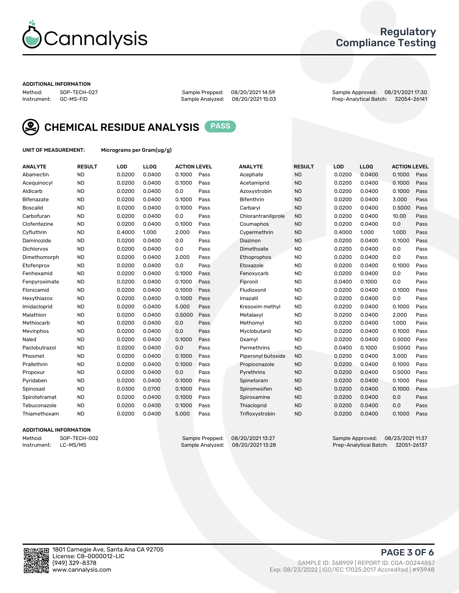

## Regulatory Compliance Testing

#### ADDITIONAL INFORMATION

Sample Analyzed: 08/20/2021 15:03

Method: SOP-TECH-027 Sample Prepped: 08/20/2021 14:59 Sample Approved: 08/21/2021 17:30



CHEMICAL RESIDUE ANALYSIS PASS

UNIT OF MEASUREMENT: Micrograms per Gram(ug/g)

| <b>ANALYTE</b>    | <b>RESULT</b> | LOD    | <b>LLOQ</b> | <b>ACTION LEVEL</b> |      | <b>ANALYTE</b>      | <b>RESULT</b> | LOD    | <b>LLOQ</b> | <b>ACTION LEVEL</b> |      |
|-------------------|---------------|--------|-------------|---------------------|------|---------------------|---------------|--------|-------------|---------------------|------|
| Abamectin         | <b>ND</b>     | 0.0200 | 0.0400      | 0.1000              | Pass | Acephate            | <b>ND</b>     | 0.0200 | 0.0400      | 0.1000              | Pass |
| Acequinocyl       | <b>ND</b>     | 0.0200 | 0.0400      | 0.1000              | Pass | Acetamiprid         | <b>ND</b>     | 0.0200 | 0.0400      | 0.1000              | Pass |
| Aldicarb          | <b>ND</b>     | 0.0200 | 0.0400      | 0.0                 | Pass | Azoxystrobin        | <b>ND</b>     | 0.0200 | 0.0400      | 0.1000              | Pass |
| Bifenazate        | <b>ND</b>     | 0.0200 | 0.0400      | 0.1000              | Pass | <b>Bifenthrin</b>   | <b>ND</b>     | 0.0200 | 0.0400      | 3.000               | Pass |
| <b>Boscalid</b>   | <b>ND</b>     | 0.0200 | 0.0400      | 0.1000              | Pass | Carbarvl            | <b>ND</b>     | 0.0200 | 0.0400      | 0.5000              | Pass |
| Carbofuran        | <b>ND</b>     | 0.0200 | 0.0400      | 0.0                 | Pass | Chlorantraniliprole | <b>ND</b>     | 0.0200 | 0.0400      | 10.00               | Pass |
| Clofentezine      | <b>ND</b>     | 0.0200 | 0.0400      | 0.1000              | Pass | Coumaphos           | <b>ND</b>     | 0.0200 | 0.0400      | 0.0                 | Pass |
| Cyfluthrin        | <b>ND</b>     | 0.4000 | 1.000       | 2.000               | Pass | Cypermethrin        | <b>ND</b>     | 0.4000 | 1.000       | 1.000               | Pass |
| Daminozide        | <b>ND</b>     | 0.0200 | 0.0400      | 0.0                 | Pass | Diazinon            | <b>ND</b>     | 0.0200 | 0.0400      | 0.1000              | Pass |
| <b>Dichlorvos</b> | <b>ND</b>     | 0.0200 | 0.0400      | 0.0                 | Pass | Dimethoate          | <b>ND</b>     | 0.0200 | 0.0400      | 0.0                 | Pass |
| Dimethomorph      | <b>ND</b>     | 0.0200 | 0.0400      | 2.000               | Pass | <b>Ethoprophos</b>  | <b>ND</b>     | 0.0200 | 0.0400      | 0.0                 | Pass |
| Etofenprox        | <b>ND</b>     | 0.0200 | 0.0400      | 0.0                 | Pass | Etoxazole           | <b>ND</b>     | 0.0200 | 0.0400      | 0.1000              | Pass |
| Fenhexamid        | <b>ND</b>     | 0.0200 | 0.0400      | 0.1000              | Pass | Fenoxycarb          | <b>ND</b>     | 0.0200 | 0.0400      | 0.0                 | Pass |
| Fenpyroximate     | <b>ND</b>     | 0.0200 | 0.0400      | 0.1000              | Pass | Fipronil            | <b>ND</b>     | 0.0400 | 0.1000      | 0.0                 | Pass |
| Flonicamid        | <b>ND</b>     | 0.0200 | 0.0400      | 0.1000              | Pass | Fludioxonil         | <b>ND</b>     | 0.0200 | 0.0400      | 0.1000              | Pass |
| Hexythiazox       | <b>ND</b>     | 0.0200 | 0.0400      | 0.1000              | Pass | Imazalil            | <b>ND</b>     | 0.0200 | 0.0400      | 0.0                 | Pass |
| Imidacloprid      | <b>ND</b>     | 0.0200 | 0.0400      | 5.000               | Pass | Kresoxim methyl     | <b>ND</b>     | 0.0200 | 0.0400      | 0.1000              | Pass |
| Malathion         | <b>ND</b>     | 0.0200 | 0.0400      | 0.5000              | Pass | Metalaxyl           | <b>ND</b>     | 0.0200 | 0.0400      | 2.000               | Pass |
| Methiocarb        | <b>ND</b>     | 0.0200 | 0.0400      | 0.0                 | Pass | Methomyl            | <b>ND</b>     | 0.0200 | 0.0400      | 1.000               | Pass |
| Mevinphos         | <b>ND</b>     | 0.0200 | 0.0400      | 0.0                 | Pass | Myclobutanil        | <b>ND</b>     | 0.0200 | 0.0400      | 0.1000              | Pass |
| Naled             | <b>ND</b>     | 0.0200 | 0.0400      | 0.1000              | Pass | Oxamyl              | <b>ND</b>     | 0.0200 | 0.0400      | 0.5000              | Pass |
| Paclobutrazol     | <b>ND</b>     | 0.0200 | 0.0400      | 0.0                 | Pass | Permethrins         | <b>ND</b>     | 0.0400 | 0.1000      | 0.5000              | Pass |
| Phosmet           | <b>ND</b>     | 0.0200 | 0.0400      | 0.1000              | Pass | Piperonyl butoxide  | <b>ND</b>     | 0.0200 | 0.0400      | 3.000               | Pass |
| Prallethrin       | <b>ND</b>     | 0.0200 | 0.0400      | 0.1000              | Pass | Propiconazole       | <b>ND</b>     | 0.0200 | 0.0400      | 0.1000              | Pass |
| Propoxur          | <b>ND</b>     | 0.0200 | 0.0400      | 0.0                 | Pass | Pyrethrins          | <b>ND</b>     | 0.0200 | 0.0400      | 0.5000              | Pass |
| Pyridaben         | <b>ND</b>     | 0.0200 | 0.0400      | 0.1000              | Pass | Spinetoram          | <b>ND</b>     | 0.0200 | 0.0400      | 0.1000              | Pass |
| Spinosad          | <b>ND</b>     | 0.0300 | 0.0700      | 0.1000              | Pass | Spiromesifen        | <b>ND</b>     | 0.0200 | 0.0400      | 0.1000              | Pass |
| Spirotetramat     | <b>ND</b>     | 0.0200 | 0.0400      | 0.1000              | Pass | Spiroxamine         | <b>ND</b>     | 0.0200 | 0.0400      | 0.0                 | Pass |
| Tebuconazole      | <b>ND</b>     | 0.0200 | 0.0400      | 0.1000              | Pass | Thiacloprid         | <b>ND</b>     | 0.0200 | 0.0400      | 0.0                 | Pass |
| Thiamethoxam      | <b>ND</b>     | 0.0200 | 0.0400      | 5.000               | Pass | Trifloxystrobin     | <b>ND</b>     | 0.0200 | 0.0400      | 0.1000              | Pass |

## ADDITIONAL INFORMATION

Method: SOP-TECH-002 Sample Prepped: 08/20/202113:27<br>Instrument: LC-MS/MS Sample Analyzed: 08/20/202113:28 Prep-Analytical Batch: 32051-26137 Prep-Analytical Batch: 32051-26137

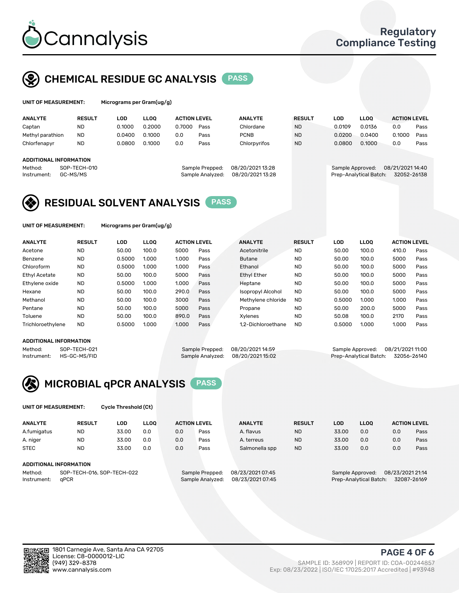

## CHEMICAL RESIDUE GC ANALYSIS PASS

| UNIT OF MEASUREMENT: | м |
|----------------------|---|
|                      |   |

licrograms per Gram(ug/g)

| <b>ANALYTE</b>                | <b>RESULT</b> | LOD    | <b>LLOO</b> | <b>ACTION LEVEL</b> |                  | <b>ANALYTE</b>   | <b>RESULT</b> | LOD    | <b>LLOO</b>            | <b>ACTION LEVEL</b> |             |
|-------------------------------|---------------|--------|-------------|---------------------|------------------|------------------|---------------|--------|------------------------|---------------------|-------------|
| Captan                        | <b>ND</b>     | 0.1000 | 0.2000      | 0.7000              | Pass             | Chlordane        | <b>ND</b>     | 0.0109 | 0.0136                 | 0.0                 | Pass        |
| Methyl parathion              | <b>ND</b>     | 0.0400 | 0.1000      | 0.0                 | Pass             | <b>PCNB</b>      | <b>ND</b>     | 0.0200 | 0.0400                 | 0.1000              | Pass        |
| Chlorfenapyr                  | <b>ND</b>     | 0.0800 | 0.1000      | 0.0                 | Pass             | Chlorpyrifos     | <b>ND</b>     | 0.0800 | 0.1000                 | 0.0                 | Pass        |
|                               |               |        |             |                     |                  |                  |               |        |                        |                     |             |
| <b>ADDITIONAL INFORMATION</b> |               |        |             |                     |                  |                  |               |        |                        |                     |             |
| Method:                       | SOP-TECH-010  |        |             |                     | Sample Prepped:  | 08/20/2021 13:28 |               |        | Sample Approved:       | 08/21/2021 14:40    |             |
| Instrument:                   | GC-MS/MS      |        |             |                     | Sample Analyzed: | 08/20/2021 13:28 |               |        | Prep-Analytical Batch: |                     | 32052-26138 |
|                               |               |        |             |                     |                  |                  |               |        |                        |                     |             |

## RESIDUAL SOLVENT ANALYSIS PASS

UNIT OF MEASUREMENT: Micrograms per Gram(ug/g)

| <b>ANALYTE</b>    | <b>RESULT</b> | LOD    | <b>LLOO</b> | <b>ACTION LEVEL</b> |      | <b>ANALYTE</b>           | <b>RESULT</b> | LOD    | LLOO  | <b>ACTION LEVEL</b> |      |
|-------------------|---------------|--------|-------------|---------------------|------|--------------------------|---------------|--------|-------|---------------------|------|
| Acetone           | <b>ND</b>     | 50.00  | 100.0       | 5000                | Pass | Acetonitrile             | <b>ND</b>     | 50.00  | 100.0 | 410.0               | Pass |
| Benzene           | <b>ND</b>     | 0.5000 | 1.000       | 1.000               | Pass | <b>Butane</b>            | <b>ND</b>     | 50.00  | 100.0 | 5000                | Pass |
| Chloroform        | <b>ND</b>     | 0.5000 | 1.000       | 1.000               | Pass | Ethanol                  | <b>ND</b>     | 50.00  | 100.0 | 5000                | Pass |
| Ethyl Acetate     | <b>ND</b>     | 50.00  | 100.0       | 5000                | Pass | <b>Ethyl Ether</b>       | <b>ND</b>     | 50.00  | 100.0 | 5000                | Pass |
| Ethylene oxide    | <b>ND</b>     | 0.5000 | 1.000       | 1.000               | Pass | Heptane                  | <b>ND</b>     | 50.00  | 100.0 | 5000                | Pass |
| Hexane            | <b>ND</b>     | 50.00  | 100.0       | 290.0               | Pass | <b>Isopropyl Alcohol</b> | <b>ND</b>     | 50.00  | 100.0 | 5000                | Pass |
| Methanol          | <b>ND</b>     | 50.00  | 100.0       | 3000                | Pass | Methylene chloride       | <b>ND</b>     | 0.5000 | 1.000 | 1.000               | Pass |
| Pentane           | <b>ND</b>     | 50.00  | 100.0       | 5000                | Pass | Propane                  | <b>ND</b>     | 50.00  | 200.0 | 5000                | Pass |
| Toluene           | <b>ND</b>     | 50.00  | 100.0       | 890.0               | Pass | Xvlenes                  | <b>ND</b>     | 50.08  | 100.0 | 2170                | Pass |
| Trichloroethylene | <b>ND</b>     | 0.5000 | 1.000       | 1.000               | Pass | 1.2-Dichloroethane       | <b>ND</b>     | 0.5000 | 1.000 | 1.000               | Pass |

### ADDITIONAL INFORMATION

Method: SOP-TECH-021 Sample Prepped: 08/20/202114:59 Sample Approved: 08/21/2021 11:00<br>Instrument: HS-GC-MS/FID Sample Analyzed: 08/20/2021 15:02 Prep-Analytical Batch: 32056-26140 Prep-Analytical Batch: 32056-26140



UNIT OF MEASUREMENT: Cycle Threshold (Ct)

| <b>ANALYTE</b> | <b>RESULT</b>              | LOD   | <b>LLOO</b> | <b>ACTION LEVEL</b> |                 | <b>ANALYTE</b>   | <b>RESULT</b> | LOD   | <b>LLOO</b>      |                  | <b>ACTION LEVEL</b> |
|----------------|----------------------------|-------|-------------|---------------------|-----------------|------------------|---------------|-------|------------------|------------------|---------------------|
| A.fumigatus    | <b>ND</b>                  | 33.00 | 0.0         | 0.0                 | Pass            | A. flavus        | <b>ND</b>     | 33.00 | 0.0              | 0.0              | Pass                |
| A. niger       | <b>ND</b>                  | 33.00 | 0.0         | 0.0                 | Pass            | A. terreus       | <b>ND</b>     | 33.00 | 0.0              | 0.0              | Pass                |
| <b>STEC</b>    | <b>ND</b>                  | 33.00 | 0.0         | 0.0                 | Pass            | Salmonella spp   | <b>ND</b>     | 33.00 | 0.0              | 0.0              | Pass                |
|                | ADDITIONAL INFORMATION     |       |             |                     |                 |                  |               |       |                  |                  |                     |
| Method:        | SOP-TECH-016, SOP-TECH-022 |       |             |                     | Sample Prepped: | 08/23/2021 07:45 |               |       | Sample Approved: | 08/23/2021 21:14 |                     |

Instrument: qPCR Sample Analyzed: 08/23/2021 07:45 Prep-Analytical Batch: 32087-26169

PAGE 4 OF 6

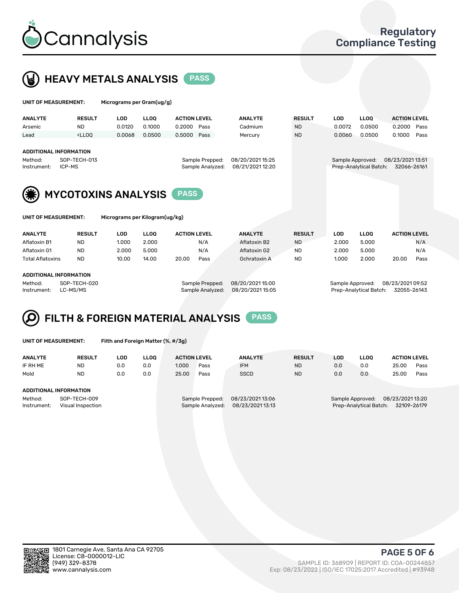



| UNIT OF MEASUREMENT:   |                                                                                                                                                                         | Micrograms per Gram(ug/g)      |             |                     |                                     |                                     |               |                  |                        |                                 |
|------------------------|-------------------------------------------------------------------------------------------------------------------------------------------------------------------------|--------------------------------|-------------|---------------------|-------------------------------------|-------------------------------------|---------------|------------------|------------------------|---------------------------------|
| <b>ANALYTE</b>         | <b>RESULT</b>                                                                                                                                                           | <b>LOD</b>                     | <b>LLOO</b> | <b>ACTION LEVEL</b> |                                     | <b>ANALYTE</b>                      | <b>RESULT</b> | <b>LOD</b>       | <b>LLOQ</b>            | <b>ACTION LEVEL</b>             |
| Arsenic                | <b>ND</b>                                                                                                                                                               | 0.0120                         | 0.1000      | 0.2000              | Pass                                | Cadmium                             | <b>ND</b>     | 0.0072           | 0.0500                 | 0.2000<br>Pass                  |
| Lead                   | <lloq< td=""><td>0.0068</td><td>0.0500</td><td>0.5000</td><td>Pass</td><td>Mercury</td><td><b>ND</b></td><td>0.0060</td><td>0.0500</td><td>0.1000<br/>Pass</td></lloq<> | 0.0068                         | 0.0500      | 0.5000              | Pass                                | Mercury                             | <b>ND</b>     | 0.0060           | 0.0500                 | 0.1000<br>Pass                  |
| Method:<br>Instrument: | <b>ADDITIONAL INFORMATION</b><br>SOP-TECH-013<br>ICP-MS                                                                                                                 |                                |             |                     | Sample Prepped:<br>Sample Analyzed: | 08/20/202115:25<br>08/21/2021 12:20 |               | Sample Approved: | Prep-Analytical Batch: | 08/23/2021 13:51<br>32066-26161 |
|                        | <b>MYCOTOXINS ANALYSIS</b>                                                                                                                                              |                                |             | <b>PASS</b>         |                                     |                                     |               |                  |                        |                                 |
| UNIT OF MEASUREMENT:   |                                                                                                                                                                         | Micrograms per Kilogram(ug/kg) |             |                     |                                     |                                     |               |                  |                        |                                 |
| <b>ANALYTE</b>         | <b>RESULT</b>                                                                                                                                                           | <b>LOD</b>                     | <b>LLOQ</b> | <b>ACTION LEVEL</b> |                                     | <b>ANALYTE</b>                      | <b>RESULT</b> | <b>LOD</b>       | <b>LLOQ</b>            | <b>ACTION LEVEL</b>             |
| Aflatoxin B1           | <b>ND</b>                                                                                                                                                               | 1.000                          | 2.000       |                     | N/A                                 | Aflatoxin B2                        | <b>ND</b>     | 2.000            | 5.000                  | N/A                             |
| Aflatoxin G1           | <b>ND</b>                                                                                                                                                               | 2.000                          | 5.000       |                     | N/A                                 | Aflatoxin G2                        | <b>ND</b>     | 2.000            | 5.000                  | N/A                             |

Total Aflatoxins ND 10.00 14.00 20.00 Pass Ochratoxin A ND 1.000 2.000 20.00 Pass

#### ADDITIONAL INFORMATION

Method: SOP-TECH-020 Sample Prepped: 08/20/2021 15:00 Sample Approved: 08/23/2021 09:52 Instrument: LC-MS/MS Sample Analyzed: 08/20/2021 15:05 Prep-Analytical Batch: 32055-26143

# FILTH & FOREIGN MATERIAL ANALYSIS PASS

UNIT OF MEASUREMENT: Filth and Foreign Matter (%, #/3g)

| <b>ANALYTE</b>                                              | <b>RESULT</b> | LOD | <b>LLOO</b> | <b>ACTION LEVEL</b>                                                        |      | <b>ANALYTE</b> | <b>RESULT</b> | LOD                                                                        | <b>LLOO</b> | <b>ACTION LEVEL</b> |      |
|-------------------------------------------------------------|---------------|-----|-------------|----------------------------------------------------------------------------|------|----------------|---------------|----------------------------------------------------------------------------|-------------|---------------------|------|
| IF RH ME                                                    | <b>ND</b>     | 0.0 | 0.0         | 1.000                                                                      | Pass | <b>IFM</b>     | <b>ND</b>     | 0.0                                                                        | 0.0         | 25.00               | Pass |
| Mold                                                        | <b>ND</b>     | 0.0 | 0.0         | 25.00                                                                      | Pass | <b>SSCD</b>    | <b>ND</b>     | 0.0                                                                        | 0.0         | 25.00               | Pass |
| ADDITIONAL INFORMATION                                      |               |     |             |                                                                            |      |                |               |                                                                            |             |                     |      |
| Method:<br>SOP-TECH-009<br>Instrument:<br>Visual Inspection |               |     |             | 08/23/2021 13:06<br>Sample Prepped:<br>08/23/202113:13<br>Sample Analyzed: |      |                |               | 08/23/2021 13:20<br>Sample Approved:<br>Prep-Analytical Batch: 32109-26179 |             |                     |      |



PAGE 5 OF 6